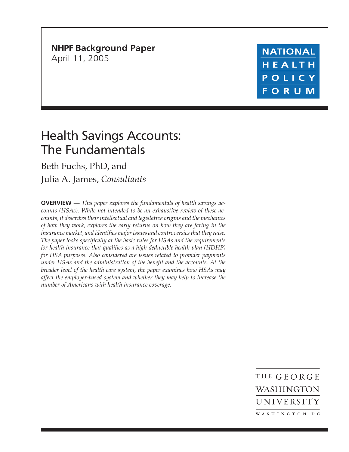**NHPF Background Paper** April 11, 2005

**NATIONAL** HEALTH POLICY **FORUM** 

# Health Savings Accounts: The Fundamentals

Beth Fuchs, PhD, and Julia A. James, *Consultants*

**OVERVIEW —** *This paper explores the fundamentals of health savings accounts (HSAs). While not intended to be an exhaustive review of these accounts, it describes their intellectual and legislative origins and the mechanics of how they work, explores the early returns on how they are faring in the insurance market, and identifies major issues and controversies that they raise. The paper looks specifically at the basic rules for HSAs and the requirements for health insurance that qualifies as a high-deductible health plan (HDHP) for HSA purposes. Also considered are issues related to provider payments under HSAs and the administration of the benefit and the accounts. At the broader level of the health care system, the paper examines how HSAs may affect the employer-based system and whether they may help to increase the number of Americans with health insurance coverage.*

> THE GEORGE WASHINGTON UNIVERSITY WASHINGTON DC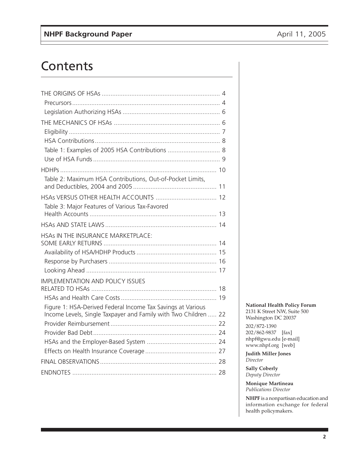# **Contents**

| Table 1: Examples of 2005 HSA Contributions  8                                                                                 |  |
|--------------------------------------------------------------------------------------------------------------------------------|--|
|                                                                                                                                |  |
|                                                                                                                                |  |
| Table 2: Maximum HSA Contributions, Out-of-Pocket Limits,                                                                      |  |
| HSAs VERSUS OTHER HEALTH ACCOUNTS  12                                                                                          |  |
| Table 3: Major Features of Various Tax-Favored                                                                                 |  |
|                                                                                                                                |  |
| HSAs IN THE INSURANCE MARKETPLACE:                                                                                             |  |
|                                                                                                                                |  |
|                                                                                                                                |  |
|                                                                                                                                |  |
| <b>IMPLEMENTATION AND POLICY ISSUES</b>                                                                                        |  |
|                                                                                                                                |  |
|                                                                                                                                |  |
| Figure 1: HSA-Derived Federal Income Tax Savings at Various<br>Income Levels, Single Taxpayer and Family with Two Children  22 |  |
|                                                                                                                                |  |
|                                                                                                                                |  |
|                                                                                                                                |  |
|                                                                                                                                |  |
|                                                                                                                                |  |
|                                                                                                                                |  |
|                                                                                                                                |  |

**National Health Policy Forum** 2131 K Street NW, Suite 500 Washington DC 20037

202/872-1390 202/862-9837 [fax] nhpf@gwu.edu [e-mail] www.nhpf.org [web]

**Judith Miller Jones** *Director*

**Sally Coberly** *Deputy Director*

**Monique Martineau** *Publications Director*

**NHPF** is a nonpartisan education and information exchange for federal health policymakers.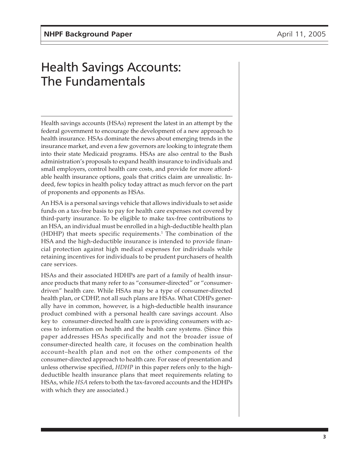# Health Savings Accounts: The Fundamentals

Health savings accounts (HSAs) represent the latest in an attempt by the federal government to encourage the development of a new approach to health insurance. HSAs dominate the news about emerging trends in the insurance market, and even a few governors are looking to integrate them into their state Medicaid programs. HSAs are also central to the Bush administration's proposals to expand health insurance to individuals and small employers, control health care costs, and provide for more affordable health insurance options, goals that critics claim are unrealistic. Indeed, few topics in health policy today attract as much fervor on the part of proponents and opponents as HSAs.

An HSA is a personal savings vehicle that allows individuals to set aside funds on a tax-free basis to pay for health care expenses not covered by third-party insurance. To be eligible to make tax-free contributions to an HSA, an individual must be enrolled in a high-deductible health plan (HDHP) that meets specific requirements. $^{\rm 1}$  The combination of the HSA and the high-deductible insurance is intended to provide financial protection against high medical expenses for individuals while retaining incentives for individuals to be prudent purchasers of health care services.

HSAs and their associated HDHPs are part of a family of health insurance products that many refer to as "consumer-directed" or "consumerdriven" health care. While HSAs may be a type of consumer-directed health plan, or CDHP, not all such plans are HSAs. What CDHPs generally have in common, however, is a high-deductible health insurance product combined with a personal health care savings account. Also key to consumer-directed health care is providing consumers with access to information on health and the health care systems. (Since this paper addresses HSAs specifically and not the broader issue of consumer-directed health care, it focuses on the combination health account–health plan and not on the other components of the consumer-directed approach to health care. For ease of presentation and unless otherwise specified, *HDHP* in this paper refers only to the highdeductible health insurance plans that meet requirements relating to HSAs, while *HSA* refers to both the tax-favored accounts and the HDHPs with which they are associated.)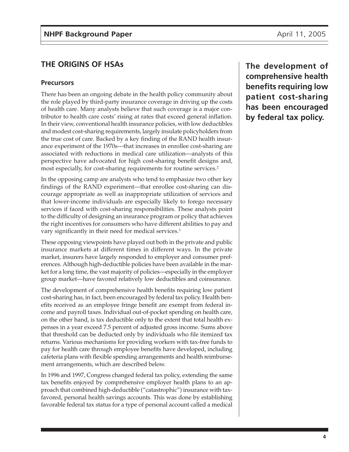#### **Precursors**

There has been an ongoing debate in the health policy community about the role played by third-party insurance coverage in driving up the costs of health care. Many analysts believe that such coverage is a major contributor to health care costs' rising at rates that exceed general inflation. In their view, conventional health insurance policies, with low deductibles and modest cost-sharing requirements, largely insulate policyholders from the true cost of care. Backed by a key finding of the RAND health insurance experiment of the 1970s—that increases in enrollee cost-sharing are associated with reductions in medical care utilization—analysts of this perspective have advocated for high cost-sharing benefit designs and, most especially, for cost-sharing requirements for routine services.<sup>2</sup>

In the opposing camp are analysts who tend to emphasize two other key findings of the RAND experiment—that enrollee cost-sharing can discourage appropriate as well as inappropriate utilization of services and that lower-income individuals are especially likely to forego necessary services if faced with cost-sharing responsibilities. These analysts point to the difficulty of designing an insurance program or policy that achieves the right incentives for consumers who have different abilities to pay and vary significantly in their need for medical services.<sup>3</sup>

These opposing viewpoints have played out both in the private and public insurance markets at different times in different ways. In the private market, insurers have largely responded to employer and consumer preferences. Although high-deductible policies have been available in the market for a long time, the vast majority of policies—especially in the employer group market—have favored relatively low deductibles and coinsurance.

The development of comprehensive health benefits requiring low patient cost-sharing has, in fact, been encouraged by federal tax policy. Health benefits received as an employee fringe benefit are exempt from federal income and payroll taxes. Individual out-of-pocket spending on health care, on the other hand, is tax deductible only to the extent that total health expenses in a year exceed 7.5 percent of adjusted gross income. Sums above that threshold can be deducted only by individuals who file itemized tax returns. Various mechanisms for providing workers with tax-free funds to pay for health care through employee benefits have developed, including cafeteria plans with flexible spending arrangements and health reimbursement arrangements, which are described below.

In 1996 and 1997, Congress changed federal tax policy, extending the same tax benefits enjoyed by comprehensive employer health plans to an approach that combined high-deductible ("catastrophic") insurance with taxfavored, personal health savings accounts. This was done by establishing favorable federal tax status for a type of personal account called a medical **The development of comprehensive health benefits requiring low patient cost-sharing has been encouraged by federal tax policy.**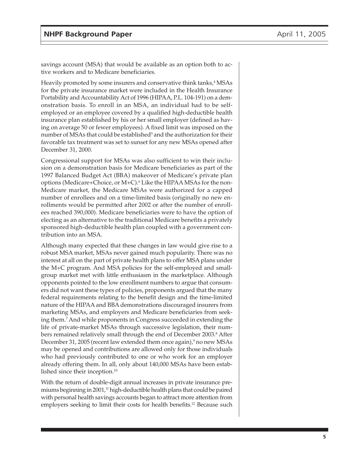savings account (MSA) that would be available as an option both to active workers and to Medicare beneficiaries.

Heavily promoted by some insurers and conservative think tanks,<sup>4</sup> MSAs for the private insurance market were included in the Health Insurance Portability and Accountability Act of 1996 (HIPAA, P.L. 104-191) on a demonstration basis. To enroll in an MSA, an individual had to be selfemployed or an employee covered by a qualified high-deductible health insurance plan established by his or her small employer (defined as having on average 50 or fewer employees). A fixed limit was imposed on the number of MSAs that could be established<sup>5</sup> and the authorization for their favorable tax treatment was set to sunset for any new MSAs opened after December 31, 2000.

Congressional support for MSAs was also sufficient to win their inclusion on a demonstration basis for Medicare beneficiaries as part of the 1997 Balanced Budget Act (BBA) makeover of Medicare's private plan options (Medicare+Choice, or M+C).<sup>6</sup> Like the HIPAA MSAs for the non-Medicare market, the Medicare MSAs were authorized for a capped number of enrollees and on a time-limited basis (originally no new enrollments would be permitted after 2002 or after the number of enrollees reached 390,000). Medicare beneficiaries were to have the option of electing as an alternative to the traditional Medicare benefits a privately sponsored high-deductible health plan coupled with a government contribution into an MSA.

Although many expected that these changes in law would give rise to a robust MSA market, MSAs never gained much popularity. There was no interest at all on the part of private health plans to offer MSA plans under the M+C program. And MSA policies for the self-employed and smallgroup market met with little enthusiasm in the marketplace. Although opponents pointed to the low enrollment numbers to argue that consumers did not want these types of policies, proponents argued that the many federal requirements relating to the benefit design and the time-limited nature of the HIPAA and BBA demonstrations discouraged insurers from marketing MSAs, and employers and Medicare beneficiaries from seeking them.7 And while proponents in Congress succeeded in extending the life of private-market MSAs through successive legislation, their numbers remained relatively small through the end of December 2003.<sup>8</sup> After December 31, 2005 (recent law extended them once again),<sup>9</sup> no new MSAs may be opened and contributions are allowed only for those individuals who had previously contributed to one or who work for an employer already offering them. In all, only about 140,000 MSAs have been established since their inception. $10$ 

With the return of double-digit annual increases in private insurance premiums beginning in 2001, $\frac{11}{2}$  high-deductible health plans that could be paired with personal health savings accounts began to attract more attention from employers seeking to limit their costs for health benefits.<sup>12</sup> Because such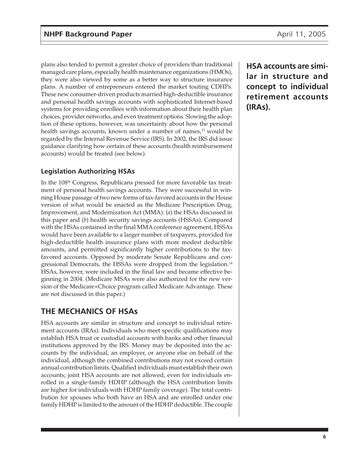plans also tended to permit a greater choice of providers than traditional managed care plans, especially health maintenance organizations (HMOs), they were also viewed by some as a better way to structure insurance plans. A number of entrepreneurs entered the market touting CDHPs. These new consumer-driven products married high-deductible insurance and personal health savings accounts with sophisticated Internet-based systems for providing enrollees with information about their health plan choices, provider networks, and even treatment options. Slowing the adoption of these options, however, was uncertainty about how the personal health savings accounts, known under a number of names,<sup>13</sup> would be regarded by the Internal Revenue Service (IRS). In 2002, the IRS did issue guidance clarifying how certain of these accounts (health reimbursement accounts) would be treated (see below).

# **Legislation Authorizing HSAs**

In the 108<sup>th</sup> Congress, Republicans pressed for more favorable tax treatment of personal health savings accounts. They were successful in winning House passage of two new forms of tax-favored accounts in the House version of what would be enacted as the Medicare Prescription Drug, Improvement, and Modernization Act (MMA): (*a*) the HSAs discussed in this paper and (*b*) health security savings accounts (HSSAs). Compared with the HSAs contained in the final MMA conference agreement, HSSAs would have been available to a larger number of taxpayers, provided for high-deductible health insurance plans with more modest deductible amounts, and permitted significantly higher contributions to the taxfavored accounts. Opposed by moderate Senate Republicans and congressional Democrats, the HSSAs were dropped from the legislation.<sup>14</sup> HSAs, however, were included in the final law and became effective beginning in 2004. (Medicare MSAs were also authorized for the new version of the Medicare+Choice program called Medicare Advantage. These are not discussed in this paper.)

# **THE MECHANICS OF HSAs**

HSA accounts are similar in structure and concept to individual retirement accounts (IRAs). Individuals who meet specific qualifications may establish HSA trust or custodial accounts with banks and other financial institutions approved by the IRS. Money may be deposited into the accounts by the individual, an employer, or anyone else on behalf of the individual, although the combined contributions may not exceed certain annual contribution limits. Qualified individuals must establish their own accounts; joint HSA accounts are not allowed, even for individuals enrolled in a single-family HDHP (although the HSA contribution limits are higher for individuals with HDHP family coverage). The total contribution for spouses who both have an HSA and are enrolled under one family HDHP is limited to the amount of the HDHP deductible. The couple **HSA accounts are similar in structure and concept to individual retirement accounts (IRAs).**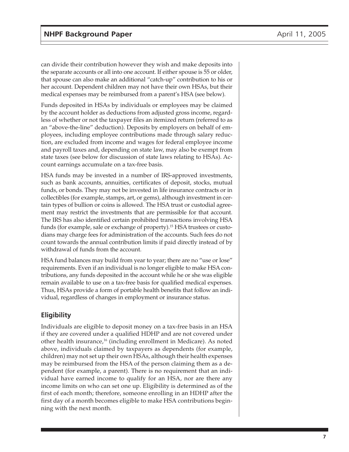can divide their contribution however they wish and make deposits into the separate accounts or all into one account. If either spouse is 55 or older, that spouse can also make an additional "catch-up" contribution to his or her account. Dependent children may not have their own HSAs, but their medical expenses may be reimbursed from a parent's HSA (see below).

Funds deposited in HSAs by individuals or employees may be claimed by the account holder as deductions from adjusted gross income, regardless of whether or not the taxpayer files an itemized return (referred to as an "above-the-line" deduction). Deposits by employers on behalf of employees, including employee contributions made through salary reduction, are excluded from income and wages for federal employee income and payroll taxes and, depending on state law, may also be exempt from state taxes (see below for discussion of state laws relating to HSAs). Account earnings accumulate on a tax-free basis.

HSA funds may be invested in a number of IRS-approved investments, such as bank accounts, annuities, certificates of deposit, stocks, mutual funds, or bonds. They may not be invested in life insurance contracts or in collectibles (for example, stamps, art, or gems), although investment in certain types of bullion or coins is allowed. The HSA trust or custodial agreement may restrict the investments that are permissible for that account. The IRS has also identified certain prohibited transactions involving HSA funds (for example, sale or exchange of property).<sup>15</sup> HSA trustees or custodians may charge fees for administration of the accounts. Such fees do not count towards the annual contribution limits if paid directly instead of by withdrawal of funds from the account.

HSA fund balances may build from year to year; there are no "use or lose" requirements. Even if an individual is no longer eligible to make HSA contributions, any funds deposited in the account while he or she was eligible remain available to use on a tax-free basis for qualified medical expenses. Thus, HSAs provide a form of portable health benefits that follow an individual, regardless of changes in employment or insurance status.

# **Eligibility**

Individuals are eligible to deposit money on a tax-free basis in an HSA if they are covered under a qualified HDHP and are not covered under other health insurance,16 (including enrollment in Medicare). As noted above, individuals claimed by taxpayers as dependents (for example, children) may not set up their own HSAs, although their health expenses may be reimbursed from the HSA of the person claiming them as a dependent (for example, a parent). There is no requirement that an individual have earned income to qualify for an HSA, nor are there any income limits on who can set one up. Eligibility is determined as of the first of each month; therefore, someone enrolling in an HDHP after the first day of a month becomes eligible to make HSA contributions beginning with the next month.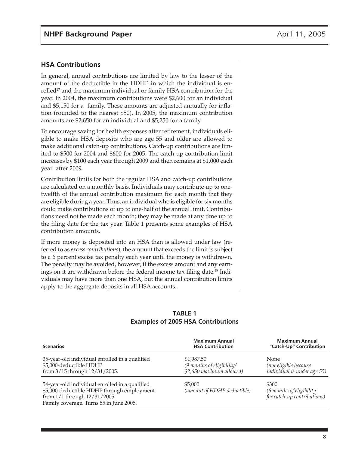#### **HSA Contributions**

In general, annual contributions are limited by law to the lesser of the amount of the deductible in the HDHP in which the individual is enrolled<sup>17</sup> and the maximum individual or family HSA contribution for the year. In 2004, the maximum contributions were \$2,600 for an individual and \$5,150 for a family. These amounts are adjusted annually for inflation (rounded to the nearest \$50). In 2005, the maximum contribution amounts are \$2,650 for an individual and \$5,250 for a family.

To encourage saving for health expenses after retirement, individuals eligible to make HSA deposits who are age 55 and older are allowed to make additional catch-up contributions. Catch-up contributions are limited to \$500 for 2004 and \$600 for 2005. The catch-up contribution limit increases by \$100 each year through 2009 and then remains at \$1,000 each year after 2009.

Contribution limits for both the regular HSA and catch-up contributions are calculated on a monthly basis. Individuals may contribute up to onetwelfth of the annual contribution maximum for each month that they are eligible during a year. Thus, an individual who is eligible for six months could make contributions of up to one-half of the annual limit. Contributions need not be made each month; they may be made at any time up to the filing date for the tax year. Table 1 presents some examples of HSA contribution amounts.

If more money is deposited into an HSA than is allowed under law (referred to as *excess contributions*), the amount that exceeds the limit is subject to a 6 percent excise tax penalty each year until the money is withdrawn. The penalty may be avoided, however, if the excess amount and any earnings on it are withdrawn before the federal income tax filing date.18 Individuals may have more than one HSA, but the annual contribution limits apply to the aggregate deposits in all HSA accounts.

#### **TABLE 1 Examples of 2005 HSA Contributions**

| <b>Scenarios</b>                                                                                                                                                        | <b>Maximum Annual</b><br><b>HSA Contribution</b>                    | <b>Maximum Annual</b><br>"Catch-Up" Contribution                    |
|-------------------------------------------------------------------------------------------------------------------------------------------------------------------------|---------------------------------------------------------------------|---------------------------------------------------------------------|
| 35-year-old individual enrolled in a qualified<br>\$5,000-deductible HDHP<br>from 3/15 through 12/31/2005.                                                              | \$1,987.50<br>(9 months of eligibility/<br>\$2,650 maximum allowed) | <b>None</b><br>(not eligible because<br>individual is under age 55) |
| 54-year-old individual enrolled in a qualified<br>\$5,000-deductible HDHP through employment<br>from 1/1 through 12/31/2005.<br>Family coverage. Turns 55 in June 2005. | \$5,000<br>(amount of HDHP deductible)                              | \$300<br>(6 months of eligibility)<br>for catch-up contributions)   |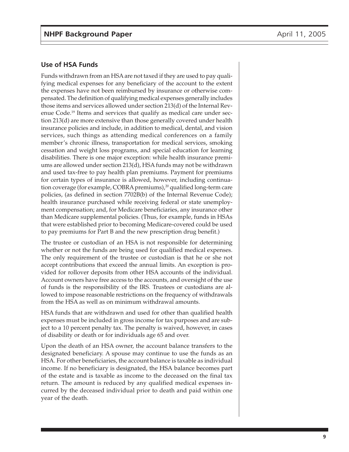#### **Use of HSA Funds**

Funds withdrawn from an HSA are not taxed if they are used to pay qualifying medical expenses for any beneficiary of the account to the extent the expenses have not been reimbursed by insurance or otherwise compensated. The definition of qualifying medical expenses generally includes those items and services allowed under section 213(d) of the Internal Revenue Code.19 Items and services that qualify as medical care under section 213(d) are more extensive than those generally covered under health insurance policies and include, in addition to medical, dental, and vision services, such things as attending medical conferences on a family member's chronic illness, transportation for medical services, smoking cessation and weight loss programs, and special education for learning disabilities. There is one major exception: while health insurance premiums are allowed under section 213(d), HSA funds may not be withdrawn and used tax-free to pay health plan premiums. Payment for premiums for certain types of insurance is allowed, however, including continuation coverage (for example, COBRA premiums),<sup>20</sup> qualified long-term care policies, (as defined in section 7702B(b) of the Internal Revenue Code); health insurance purchased while receiving federal or state unemployment compensation; and, for Medicare beneficiaries, any insurance other than Medicare supplemental policies. (Thus, for example, funds in HSAs that were established prior to becoming Medicare-covered could be used to pay premiums for Part B and the new prescription drug benefit.)

The trustee or custodian of an HSA is not responsible for determining whether or not the funds are being used for qualified medical expenses. The only requirement of the trustee or custodian is that he or she not accept contributions that exceed the annual limits. An exception is provided for rollover deposits from other HSA accounts of the individual. Account owners have free access to the accounts, and oversight of the use of funds is the responsibility of the IRS. Trustees or custodians are allowed to impose reasonable restrictions on the frequency of withdrawals from the HSA as well as on minimum withdrawal amounts.

HSA funds that are withdrawn and used for other than qualified health expenses must be included in gross income for tax purposes and are subject to a 10 percent penalty tax. The penalty is waived, however, in cases of disability or death or for individuals age 65 and over.

Upon the death of an HSA owner, the account balance transfers to the designated beneficiary. A spouse may continue to use the funds as an HSA. For other beneficiaries, the account balance is taxable as individual income. If no beneficiary is designated, the HSA balance becomes part of the estate and is taxable as income to the deceased on the final tax return. The amount is reduced by any qualified medical expenses incurred by the deceased individual prior to death and paid within one year of the death.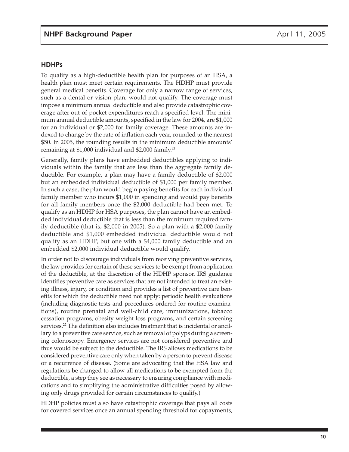#### **HDHPs**

To qualify as a high-deductible health plan for purposes of an HSA, a health plan must meet certain requirements. The HDHP must provide general medical benefits. Coverage for only a narrow range of services, such as a dental or vision plan, would not qualify. The coverage must impose a minimum annual deductible and also provide catastrophic coverage after out-of-pocket expenditures reach a specified level. The minimum annual deductible amounts, specified in the law for 2004, are \$1,000 for an individual or \$2,000 for family coverage. These amounts are indexed to change by the rate of inflation each year, rounded to the nearest \$50. In 2005, the rounding results in the minimum deductible amounts' remaining at  $$1,000$  individual and  $$2,000$  family.<sup>21</sup>

Generally, family plans have embedded deductibles applying to individuals within the family that are less than the aggregate family deductible. For example, a plan may have a family deductible of \$2,000 but an embedded individual deductible of \$1,000 per family member. In such a case, the plan would begin paying benefits for each individual family member who incurs \$1,000 in spending and would pay benefits for all family members once the \$2,000 deductible had been met. To qualify as an HDHP for HSA purposes, the plan cannot have an embedded individual deductible that is less than the minimum required family deductible (that is, \$2,000 in 2005). So a plan with a \$2,000 family deductible and \$1,000 embedded individual deductible would not qualify as an HDHP, but one with a \$4,000 family deductible and an embedded \$2,000 individual deductible would qualify.

In order not to discourage individuals from receiving preventive services, the law provides for certain of these services to be exempt from application of the deductible, at the discretion of the HDHP sponsor. IRS guidance identifies preventive care as services that are not intended to treat an existing illness, injury, or condition and provides a list of preventive care benefits for which the deductible need not apply: periodic health evaluations (including diagnostic tests and procedures ordered for routine examinations), routine prenatal and well-child care, immunizations, tobacco cessation programs, obesity weight loss programs, and certain screening services.<sup>22</sup> The definition also includes treatment that is incidental or ancillary to a preventive care service, such as removal of polyps during a screening colonoscopy. Emergency services are not considered preventive and thus would be subject to the deductible. The IRS allows medications to be considered preventive care only when taken by a person to prevent disease or a recurrence of disease. (Some are advocating that the HSA law and regulations be changed to allow all medications to be exempted from the deductible, a step they see as necessary to ensuring compliance with medications and to simplifying the administrative difficulties posed by allowing only drugs provided for certain circumstances to qualify.)

HDHP policies must also have catastrophic coverage that pays all costs for covered services once an annual spending threshold for copayments,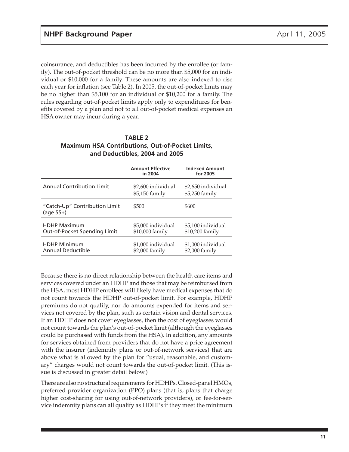coinsurance, and deductibles has been incurred by the enrollee (or family). The out-of-pocket threshold can be no more than \$5,000 for an individual or \$10,000 for a family. These amounts are also indexed to rise each year for inflation (see Table 2). In 2005, the out-of-pocket limits may be no higher than \$5,100 for an individual or \$10,200 for a family. The rules regarding out-of-pocket limits apply only to expenditures for benefits covered by a plan and not to all out-of-pocket medical expenses an HSA owner may incur during a year.

#### **TABLE 2 Maximum HSA Contributions, Out-of-Pocket Limits, and Deductibles, 2004 and 2005**

|                                                     | <b>Amount Effective</b><br>in 2004    | <b>Indexed Amount</b><br>for 2005     |
|-----------------------------------------------------|---------------------------------------|---------------------------------------|
| Annual Contribution Limit                           | \$2,600 individual<br>$$5,150$ family | \$2,650 individual<br>$$5,250$ family |
| "Catch-Up" Contribution Limit<br>$(aqe 55+)$        | \$500                                 | \$600                                 |
| <b>HDHP Maximum</b><br>Out-of-Pocket Spending Limit | \$5,000 individual<br>\$10,000 family | \$5,100 individual<br>\$10,200 family |
| <b>HDHP Minimum</b><br><b>Annual Deductible</b>     | \$1,000 individual<br>$$2,000$ family | \$1,000 individual<br>$$2,000$ family |

Because there is no direct relationship between the health care items and services covered under an HDHP and those that may be reimbursed from the HSA, most HDHP enrollees will likely have medical expenses that do not count towards the HDHP out-of-pocket limit. For example, HDHP premiums do not qualify, nor do amounts expended for items and services not covered by the plan, such as certain vision and dental services. If an HDHP does not cover eyeglasses, then the cost of eyeglasses would not count towards the plan's out-of-pocket limit (although the eyeglasses could be purchased with funds from the HSA). In addition, any amounts for services obtained from providers that do not have a price agreement with the insurer (indemnity plans or out-of-network services) that are above what is allowed by the plan for "usual, reasonable, and customary" charges would not count towards the out-of-pocket limit. (This issue is discussed in greater detail below.)

There are also no structural requirements for HDHPs. Closed-panel HMOs, preferred provider organization (PPO) plans (that is, plans that charge higher cost-sharing for using out-of-network providers), or fee-for-service indemnity plans can all qualify as HDHPs if they meet the minimum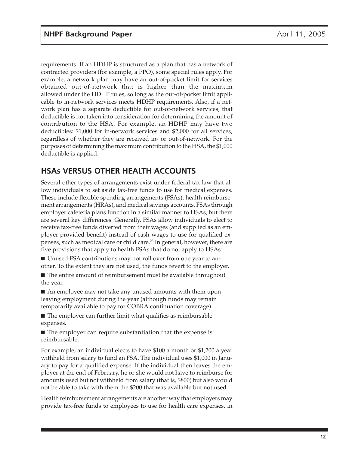requirements. If an HDHP is structured as a plan that has a network of contracted providers (for example, a PPO), some special rules apply. For example, a network plan may have an out-of-pocket limit for services obtained out-of-network that is higher than the maximum allowed under the HDHP rules, so long as the out-of-pocket limit applicable to in-network services meets HDHP requirements. Also, if a network plan has a separate deductible for out-of-network services, that deductible is not taken into consideration for determining the amount of contribution to the HSA. For example, an HDHP may have two deductibles: \$1,000 for in-network services and \$2,000 for all services, regardless of whether they are received in- or out-of-network. For the purposes of determining the maximum contribution to the HSA, the \$1,000 deductible is applied.

# **HSAs VERSUS OTHER HEALTH ACCOUNTS**

Several other types of arrangements exist under federal tax law that allow individuals to set aside tax-free funds to use for medical expenses. These include flexible spending arrangements (FSAs), health reimbursement arrangements (HRAs), and medical savings accounts. FSAs through employer cafeteria plans function in a similar manner to HSAs, but there are several key differences. Generally, FSAs allow individuals to elect to receive tax-free funds diverted from their wages (and supplied as an employer-provided benefit) instead of cash wages to use for qualified expenses, such as medical care or child care.<sup>23</sup> In general, however, there are five provisions that apply to health FSAs that do not apply to HSAs:

■ Unused FSA contributions may not roll over from one year to another. To the extent they are not used, the funds revert to the employer.

■ The entire amount of reimbursement must be available throughout the year.

■ An employee may not take any unused amounts with them upon leaving employment during the year (although funds may remain temporarily available to pay for COBRA continuation coverage).

■ The employer can further limit what qualifies as reimbursable expenses.

■ The employer can require substantiation that the expense is reimbursable.

For example, an individual elects to have \$100 a month or \$1,200 a year withheld from salary to fund an FSA. The individual uses \$1,000 in January to pay for a qualified expense. If the individual then leaves the employer at the end of February, he or she would not have to reimburse for amounts used but not withheld from salary (that is, \$800) but also would not be able to take with them the \$200 that was available but not used.

Health reimbursement arrangements are another way that employers may provide tax-free funds to employees to use for health care expenses, in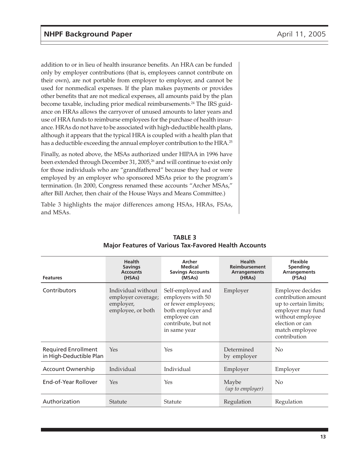addition to or in lieu of health insurance benefits. An HRA can be funded only by employer contributions (that is, employees cannot contribute on their own), are not portable from employer to employer, and cannot be used for nonmedical expenses. If the plan makes payments or provides other benefits that are not medical expenses, all amounts paid by the plan become taxable, including prior medical reimbursements.<sup>24</sup> The IRS guidance on HRAs allows the carryover of unused amounts to later years and use of HRA funds to reimburse employees for the purchase of health insurance. HRAs do not have to be associated with high-deductible health plans, although it appears that the typical HRA is coupled with a health plan that has a deductible exceeding the annual employer contribution to the HRA.<sup>25</sup>

Finally, as noted above, the MSAs authorized under HIPAA in 1996 have been extended through December 31, 2005,<sup>26</sup> and will continue to exist only for those individuals who are "grandfathered" because they had or were employed by an employer who sponsored MSAs prior to the program's termination. (In 2000, Congress renamed these accounts "Archer MSAs," after Bill Archer, then chair of the House Ways and Means Committee.)

Table 3 highlights the major differences among HSAs, HRAs, FSAs, and MSAs.

| <b>Features</b>                                       | <b>Health</b><br><b>Savings</b><br><b>Accounts</b><br>(HSAs)               | Archer<br><b>Medical</b><br><b>Savings Accounts</b><br>(MSAs)                                                                             | <b>Health</b><br><b>Reimbursement</b><br><b>Arrangements</b><br>(HRAs) | <b>Flexible</b><br><b>Spending</b><br><b>Arrangements</b><br>(FSAs)                                                                                            |
|-------------------------------------------------------|----------------------------------------------------------------------------|-------------------------------------------------------------------------------------------------------------------------------------------|------------------------------------------------------------------------|----------------------------------------------------------------------------------------------------------------------------------------------------------------|
| Contributors                                          | Individual without<br>employer coverage;<br>employer,<br>employee, or both | Self-employed and<br>employers with 50<br>or fewer employees;<br>both employer and<br>employee can<br>contribute, but not<br>in same year | Employer                                                               | Employee decides<br>contribution amount<br>up to certain limits;<br>employer may fund<br>without employee<br>election or can<br>match employee<br>contribution |
| <b>Required Enrollment</b><br>in High-Deductible Plan | Yes                                                                        | Yes                                                                                                                                       | Determined<br>by employer                                              | N <sub>0</sub>                                                                                                                                                 |
| <b>Account Ownership</b>                              | Individual                                                                 | Individual                                                                                                                                | Employer                                                               | Employer                                                                                                                                                       |
| End-of-Year Rollover                                  | Yes                                                                        | Yes                                                                                                                                       | Maybe<br>(up to employer)                                              | N <sub>0</sub>                                                                                                                                                 |
| Authorization                                         | <b>Statute</b>                                                             | Statute                                                                                                                                   | Regulation                                                             | Regulation                                                                                                                                                     |

**TABLE 3 Major Features of Various Tax-Favored Health Accounts**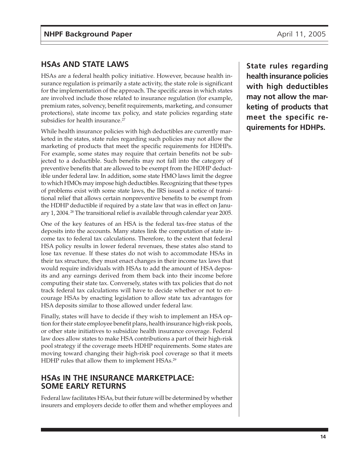# **HSAs AND STATE LAWS**

HSAs are a federal health policy initiative. However, because health insurance regulation is primarily a state activity, the state role is significant for the implementation of the approach. The specific areas in which states are involved include those related to insurance regulation (for example, premium rates, solvency, benefit requirements, marketing, and consumer protections), state income tax policy, and state policies regarding state subsidies for health insurance.<sup>27</sup>

While health insurance policies with high deductibles are currently marketed in the states, state rules regarding such policies may not allow the marketing of products that meet the specific requirements for HDHPs. For example, some states may require that certain benefits not be subjected to a deductible. Such benefits may not fall into the category of preventive benefits that are allowed to be exempt from the HDHP deductible under federal law. In addition, some state HMO laws limit the degree to which HMOs may impose high deductibles. Recognizing that these types of problems exist with some state laws, the IRS issued a notice of transitional relief that allows certain nonpreventive benefits to be exempt from the HDHP deductible if required by a state law that was in effect on January 1, 2004. 28 The transitional relief is available through calendar year 2005.

One of the key features of an HSA is the federal tax-free status of the deposits into the accounts. Many states link the computation of state income tax to federal tax calculations. Therefore, to the extent that federal HSA policy results in lower federal revenues, these states also stand to lose tax revenue. If these states do not wish to accommodate HSAs in their tax structure, they must enact changes in their income tax laws that would require individuals with HSAs to add the amount of HSA deposits and any earnings derived from them back into their income before computing their state tax. Conversely, states with tax policies that do not track federal tax calculations will have to decide whether or not to encourage HSAs by enacting legislation to allow state tax advantages for HSA deposits similar to those allowed under federal law.

Finally, states will have to decide if they wish to implement an HSA option for their state employee benefit plans, health insurance high-risk pools, or other state initiatives to subsidize health insurance coverage. Federal law does allow states to make HSA contributions a part of their high-risk pool strategy if the coverage meets HDHP requirements. Some states are moving toward changing their high-risk pool coverage so that it meets HDHP rules that allow them to implement HSAs.<sup>29</sup>

# **HSAs IN THE INSURANCE MARKETPLACE: SOME EARLY RETURNS**

Federal law facilitates HSAs, but their future will be determined by whether insurers and employers decide to offer them and whether employees and **State rules regarding health insurance policies with high deductibles may not allow the marketing of products that meet the specific requirements for HDHPs.**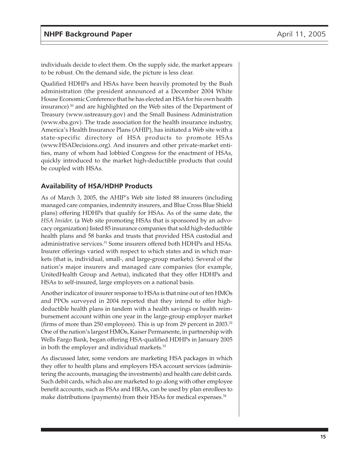individuals decide to elect them. On the supply side, the market appears to be robust. On the demand side, the picture is less clear.

Qualified HDHPs and HSAs have been heavily promoted by the Bush administration (the president announced at a December 2004 White House Economic Conference that he has elected an HSA for his own health insurance) 30 and are highlighted on the Web sites of the Department of Treasury (www.ustreasury.gov) and the Small Business Administration (www.sba.gov). The trade association for the health insurance industry, America's Health Insurance Plans (AHIP), has initiated a Web site with a state-specific directory of HSA products to promote HSAs (www.HSADecisions.org). And insurers and other private-market entities, many of whom had lobbied Congress for the enactment of HSAs, quickly introduced to the market high-deductible products that could be coupled with HSAs.

# **Availability of HSA/HDHP Products**

As of March 3, 2005, the AHIP's Web site listed 88 insurers (including managed care companies, indemnity insurers, and Blue Cross Blue Shield plans) offering HDHPs that qualify for HSAs. As of the same date, the *HSA Insider,* (a Web site promoting HSAs that is sponsored by an advocacy organization) listed 85 insurance companies that sold high-deductible health plans and 58 banks and trusts that provided HSA custodial and administrative services.31 Some insurers offered both HDHPs and HSAs. Insurer offerings varied with respect to which states and in which markets (that is, individual, small-, and large-group markets). Several of the nation's major insurers and managed care companies (for example, UnitedHealth Group and Aetna), indicated that they offer HDHPs and HSAs to self-insured, large employers on a national basis.

Another indicator of insurer response to HSAs is that nine out of ten HMOs and PPOs surveyed in 2004 reported that they intend to offer highdeductible health plans in tandem with a health savings or health reimbursement account within one year in the large-group employer market (firms of more than 250 employees). This is up from 29 percent in 2003.32 One of the nation's largest HMOs, Kaiser Permanente, in partnership with Wells Fargo Bank, began offering HSA-qualified HDHPs in January 2005 in both the employer and individual markets.<sup>33</sup>

As discussed later, some vendors are marketing HSA packages in which they offer to health plans and employers HSA account services (administering the accounts, managing the investments) and health care debit cards. Such debit cards, which also are marketed to go along with other employee benefit accounts, such as FSAs and HRAs, can be used by plan enrollees to make distributions (payments) from their HSAs for medical expenses.<sup>34</sup>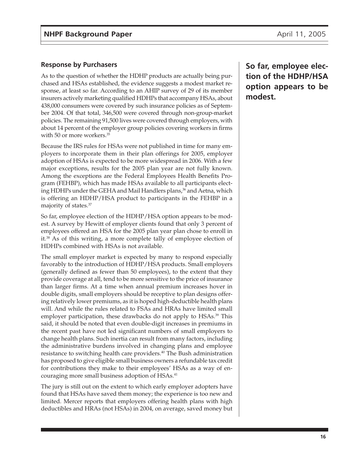#### **Response by Purchasers**

As to the question of whether the HDHP products are actually being purchased and HSAs established, the evidence suggests a modest market response, at least so far. According to an AHIP survey of 29 of its member insurers actively marketing qualified HDHPs that accompany HSAs, about 438,000 consumers were covered by such insurance policies as of September 2004. Of that total, 346,500 were covered through non-group-market policies. The remaining 91,500 lives were covered through employers, with about 14 percent of the employer group policies covering workers in firms with 50 or more workers.<sup>35</sup>

Because the IRS rules for HSAs were not published in time for many employers to incorporate them in their plan offerings for 2005, employer adoption of HSAs is expected to be more widespread in 2006. With a few major exceptions, results for the 2005 plan year are not fully known. Among the exceptions are the Federal Employees Health Benefits Program (FEHBP), which has made HSAs available to all participants electing HDHPs under the GEHA and Mail Handlers plans,<sup>36</sup> and Aetna, which is offering an HDHP/HSA product to participants in the FEHBP in a majority of states.37

So far, employee election of the HDHP/HSA option appears to be modest. A survey by Hewitt of employer clients found that only 3 percent of employees offered an HSA for the 2005 plan year plan chose to enroll in it.38 As of this writing, a more complete tally of employee election of HDHPs combined with HSAs is not available.

The small employer market is expected by many to respond especially favorably to the introduction of HDHP/HSA products. Small employers (generally defined as fewer than 50 employees), to the extent that they provide coverage at all, tend to be more sensitive to the price of insurance than larger firms. At a time when annual premium increases hover in double digits, small employers should be receptive to plan designs offering relatively lower premiums, as it is hoped high-deductible health plans will. And while the rules related to FSAs and HRAs have limited small employer participation, these drawbacks do not apply to HSAs.<sup>39</sup> This said, it should be noted that even double-digit increases in premiums in the recent past have not led significant numbers of small employers to change health plans. Such inertia can result from many factors, including the administrative burdens involved in changing plans and employee resistance to switching health care providers.<sup>40</sup> The Bush administration has proposed to give eligible small business owners a refundable tax credit for contributions they make to their employees' HSAs as a way of encouraging more small business adoption of HSAs.<sup>41</sup>

The jury is still out on the extent to which early employer adopters have found that HSAs have saved them money; the experience is too new and limited. Mercer reports that employers offering health plans with high deductibles and HRAs (not HSAs) in 2004, on average, saved money but **So far, employee election of the HDHP/HSA option appears to be modest.**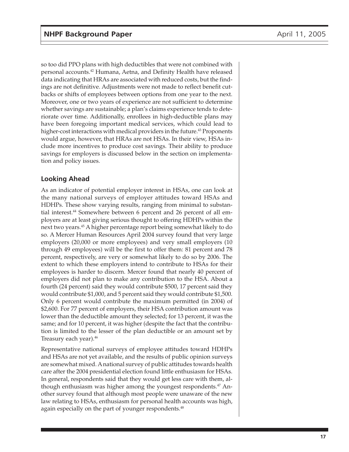so too did PPO plans with high deductibles that were not combined with personal accounts.42 Humana, Aetna, and Definity Health have released data indicating that HRAs are associated with reduced costs, but the findings are not definitive. Adjustments were not made to reflect benefit cutbacks or shifts of employees between options from one year to the next. Moreover, one or two years of experience are not sufficient to determine whether savings are sustainable; a plan's claims experience tends to deteriorate over time. Additionally, enrollees in high-deductible plans may have been foregoing important medical services, which could lead to higher-cost interactions with medical providers in the future.<sup>43</sup> Proponents would argue, however, that HRAs are not HSAs. In their view, HSAs include more incentives to produce cost savings. Their ability to produce savings for employers is discussed below in the section on implementation and policy issues.

## **Looking Ahead**

As an indicator of potential employer interest in HSAs, one can look at the many national surveys of employer attitudes toward HSAs and HDHPs. These show varying results, ranging from minimal to substantial interest.<sup>44</sup> Somewhere between 6 percent and 26 percent of all employers are at least giving serious thought to offering HDHPs within the next two years.45 A higher percentage report being somewhat likely to do so. A Mercer Human Resources April 2004 survey found that very large employers (20,000 or more employees) and very small employers (10 through 49 employees) will be the first to offer them: 81 percent and 78 percent, respectively, are very or somewhat likely to do so by 2006. The extent to which these employers intend to contribute to HSAs for their employees is harder to discern. Mercer found that nearly 40 percent of employers did not plan to make any contribution to the HSA. About a fourth (24 percent) said they would contribute \$500, 17 percent said they would contribute \$1,000, and 5 percent said they would contribute \$1,500. Only 6 percent would contribute the maximum permitted (in 2004) of \$2,600. For 77 percent of employers, their HSA contribution amount was lower than the deductible amount they selected; for 13 percent, it was the same; and for 10 percent, it was higher (despite the fact that the contribution is limited to the lesser of the plan deductible or an amount set by Treasury each year).46

Representative national surveys of employee attitudes toward HDHPs and HSAs are not yet available, and the results of public opinion surveys are somewhat mixed. A national survey of public attitudes towards health care after the 2004 presidential election found little enthusiasm for HSAs. In general, respondents said that they would get less care with them, although enthusiasm was higher among the youngest respondents.<sup>47</sup> Another survey found that although most people were unaware of the new law relating to HSAs, enthusiasm for personal health accounts was high, again especially on the part of younger respondents.<sup>48</sup>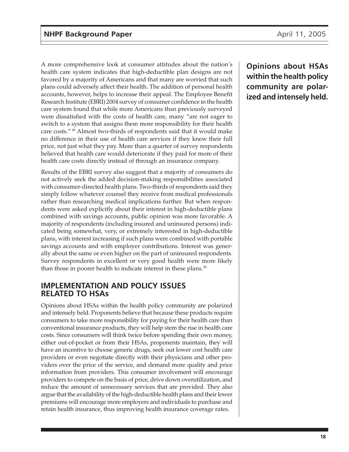A more comprehensive look at consumer attitudes about the nation's health care system indicates that high-deductible plan designs are not favored by a majority of Americans and that many are worried that such plans could adversely affect their health. The addition of personal health accounts, however, helps to increase their appeal. The Employee Benefit Research Institute (EBRI) 2004 survey of consumer confidence in the health care system found that while more Americans than previously surveyed were dissatisfied with the costs of health care, many "are not eager to switch to a system that assigns them more responsibility for their health care costs." 49 Almost two-thirds of respondents said that it would make no difference in their use of health care services if they knew their full price, not just what they pay. More than a quarter of survey respondents believed that health care would deteriorate if they paid for more of their health care costs directly instead of through an insurance company.

Results of the EBRI survey also suggest that a majority of consumers do not actively seek the added decision-making responsibilities associated with consumer-directed health plans. Two-thirds of respondents said they simply follow whatever counsel they receive from medical professionals rather than researching medical implications further. But when respondents were asked explicitly about their interest in high-deductible plans combined with savings accounts, public opinion was more favorable. A majority of respondents (including insured and uninsured persons) indicated being somewhat, very, or extremely interested in high-deductible plans, with interest increasing if such plans were combined with portable savings accounts and with employer contributions. Interest was generally about the same or even higher on the part of uninsured respondents. Survey respondents in excellent or very good health were more likely than those in poorer health to indicate interest in these plans.<sup>50</sup>

## **IMPLEMENTATION AND POLICY ISSUES RELATED TO HSAs**

Opinions about HSAs within the health policy community are polarized and intensely held. Proponents believe that because these products require consumers to take more responsibility for paying for their health care than conventional insurance products, they will help stem the rise in health care costs. Since consumers will think twice before spending their own money, either out-of-pocket or from their HSAs, proponents maintain, they will have an incentive to choose generic drugs, seek out lower cost health care providers or even negotiate directly with their physicians and other providers over the price of the service, and demand more quality and price information from providers. This consumer involvement will encourage providers to compete on the basis of price, drive down overutilization, and reduce the amount of unnecessary services that are provided. They also argue that the availability of the high-deductible health plans and their lower premiums will encourage more employers and individuals to purchase and retain health insurance, thus improving health insurance coverage rates.

**Opinions about HSAs within the health policy community are polarized and intensely held.**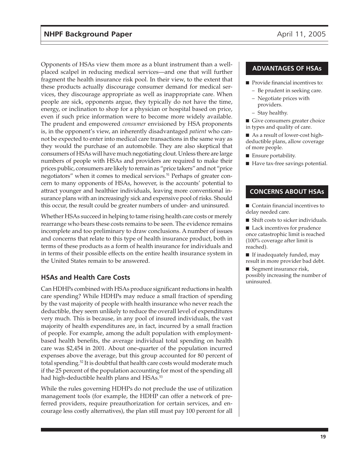Opponents of HSAs view them more as a blunt instrument than a wellplaced scalpel in reducing medical services—and one that will further fragment the health insurance risk pool. In their view, to the extent that these products actually discourage consumer demand for medical services, they discourage appropriate as well as inappropriate care. When people are sick, opponents argue, they typically do not have the time, energy, or inclination to shop for a physician or hospital based on price, even if such price information were to become more widely available. The prudent and empowered *consumer* envisioned by HSA proponents is, in the opponent's view, an inherently disadvantaged *patient* who cannot be expected to enter into medical care transactions in the same way as they would the purchase of an automobile. They are also skeptical that consumers of HSAs will have much negotiating clout. Unless there are large numbers of people with HSAs and providers are required to make their prices public, consumers are likely to remain as "price takers" and not "price negotiators" when it comes to medical services.<sup>51</sup> Perhaps of greater concern to many opponents of HSAs, however, is the accounts' potential to attract younger and healthier individuals, leaving more conventional insurance plans with an increasingly sick and expensive pool of risks. Should this occur, the result could be greater numbers of under- and uninsured.

Whether HSAs succeed in helping to tame rising health care costs or merely rearrange who bears these costs remains to be seen. The evidence remains incomplete and too preliminary to draw conclusions. A number of issues and concerns that relate to this type of health insurance product, both in terms of these products as a form of health insurance for individuals and in terms of their possible effects on the entire health insurance system in the United States remain to be answered.

## **HSAs and Health Care Costs**

Can HDHPs combined with HSAs produce significant reductions in health care spending? While HDHPs may reduce a small fraction of spending by the vast majority of people with health insurance who never reach the deductible, they seem unlikely to reduce the overall level of expenditures very much. This is because, in any pool of insured individuals, the vast majority of health expenditures are, in fact, incurred by a small fraction of people. For example, among the adult population with employmentbased health benefits, the average individual total spending on health care was \$2,454 in 2001. About one-quarter of the population incurred expenses above the average, but this group accounted for 80 percent of total spending.<sup>52</sup> It is doubtful that health care costs would moderate much if the 25 percent of the population accounting for most of the spending all had high-deductible health plans and HSAs.<sup>53</sup>

While the rules governing HDHPs do not preclude the use of utilization management tools (for example, the HDHP can offer a network of preferred providers, require preauthorization for certain services, and encourage less costly alternatives), the plan still must pay 100 percent for all

#### **ADVANTAGES OF HSAs**

- Provide financial incentives to:
	- Be prudent in seeking care.
	- Negotiate prices with providers.
	- Stay healthy.
- Give consumers greater choice in types and quality of care.
- As a result of lower-cost highdeductible plans, allow coverage of more people.
- Ensure portability.
- Have tax-free savings potential.

#### **CONCERNS ABOUT HSAs**

- Contain financial incentives to delay needed care.
- Shift costs to sicker individuals.
- Lack incentives for prudence once catastrophic limit is reached (100% coverage after limit is reached).
- If inadequately funded, may result in more provider bad debt.
- Segment insurance risk, possibly increasing the number of uninsured.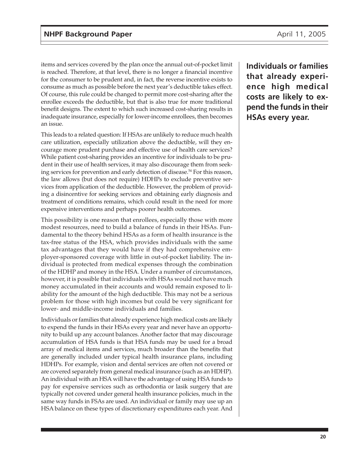items and services covered by the plan once the annual out-of-pocket limit is reached. Therefore, at that level, there is no longer a financial incentive for the consumer to be prudent and, in fact, the reverse incentive exists to consume as much as possible before the next year's deductible takes effect. Of course, this rule could be changed to permit more cost-sharing after the enrollee exceeds the deductible, but that is also true for more traditional benefit designs. The extent to which such increased cost-sharing results in inadequate insurance, especially for lower-income enrollees, then becomes an issue.

This leads to a related question: If HSAs are unlikely to reduce much health care utilization, especially utilization above the deductible, will they encourage more prudent purchase and effective use of health care services? While patient cost-sharing provides an incentive for individuals to be prudent in their use of health services, it may also discourage them from seeking services for prevention and early detection of disease.<sup>54</sup> For this reason, the law allows (but does not require) HDHPs to exclude preventive services from application of the deductible. However, the problem of providing a disincentive for seeking services and obtaining early diagnosis and treatment of conditions remains, which could result in the need for more expensive interventions and perhaps poorer health outcomes.

This possibility is one reason that enrollees, especially those with more modest resources, need to build a balance of funds in their HSAs. Fundamental to the theory behind HSAs as a form of health insurance is the tax-free status of the HSA, which provides individuals with the same tax advantages that they would have if they had comprehensive employer-sponsored coverage with little in out-of-pocket liability. The individual is protected from medical expenses through the combination of the HDHP and money in the HSA. Under a number of circumstances, however, it is possible that individuals with HSAs would not have much money accumulated in their accounts and would remain exposed to liability for the amount of the high deductible. This may not be a serious problem for those with high incomes but could be very significant for lower- and middle-income individuals and families.

Individuals or families that already experience high medical costs are likely to expend the funds in their HSAs every year and never have an opportunity to build up any account balances. Another factor that may discourage accumulation of HSA funds is that HSA funds may be used for a broad array of medical items and services, much broader than the benefits that are generally included under typical health insurance plans, including HDHPs. For example, vision and dental services are often not covered or are covered separately from general medical insurance (such as an HDHP). An individual with an HSA will have the advantage of using HSA funds to pay for expensive services such as orthodontia or lasik surgery that are typically not covered under general health insurance policies, much in the same way funds in FSAs are used. An individual or family may use up an HSA balance on these types of discretionary expenditures each year. And

**Individuals or families that already experience high medical costs are likely to expend the funds in their HSAs every year.**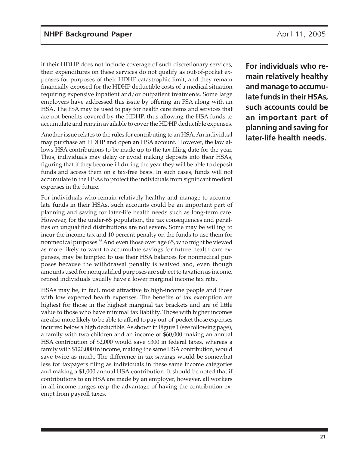if their HDHP does not include coverage of such discretionary services, their expenditures on these services do not qualify as out-of-pocket expenses for purposes of their HDHP catastrophic limit, and they remain financially exposed for the HDHP deductible costs of a medical situation requiring expensive inpatient and/or outpatient treatments. Some large employers have addressed this issue by offering an FSA along with an HSA. The FSA may be used to pay for health care items and services that are not benefits covered by the HDHP, thus allowing the HSA funds to accumulate and remain available to cover the HDHP deductible expenses.

Another issue relates to the rules for contributing to an HSA. An individual may purchase an HDHP and open an HSA account. However, the law allows HSA contributions to be made up to the tax filing date for the year. Thus, individuals may delay or avoid making deposits into their HSAs, figuring that if they become ill during the year they will be able to deposit funds and access them on a tax-free basis. In such cases, funds will not accumulate in the HSAs to protect the individuals from significant medical expenses in the future.

For individuals who remain relatively healthy and manage to accumulate funds in their HSAs, such accounts could be an important part of planning and saving for later-life health needs such as long-term care. However, for the under-65 population, the tax consequences and penalties on unqualified distributions are not severe. Some may be willing to incur the income tax and 10 percent penalty on the funds to use them for nonmedical purposes.<sup>55</sup> And even those over age 65, who might be viewed as more likely to want to accumulate savings for future health care expenses, may be tempted to use their HSA balances for nonmedical purposes because the withdrawal penalty is waived and, even though amounts used for nonqualified purposes are subject to taxation as income, retired individuals usually have a lower marginal income tax rate.

HSAs may be, in fact, most attractive to high-income people and those with low expected health expenses. The benefits of tax exemption are highest for those in the highest marginal tax brackets and are of little value to those who have minimal tax liability. Those with higher incomes are also more likely to be able to afford to pay out-of-pocket those expenses incurred below a high deductible. As shown in Figure 1 (see following page), a family with two children and an income of \$60,000 making an annual HSA contribution of \$2,000 would save \$300 in federal taxes, whereas a family with \$120,000 in income, making the same HSA contribution, would save twice as much. The difference in tax savings would be somewhat less for taxpayers filing as individuals in these same income categories and making a \$1,000 annual HSA contribution. It should be noted that if contributions to an HSA are made by an employer, however, all workers in all income ranges reap the advantage of having the contribution exempt from payroll taxes.

**For individuals who remain relatively healthy and manage to accumulate funds in their HSAs, such accounts could be an important part of planning and saving for later-life health needs.**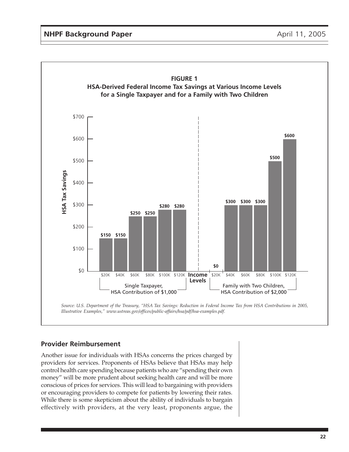

#### **Provider Reimbursement**

Another issue for individuals with HSAs concerns the prices charged by providers for services. Proponents of HSAs believe that HSAs may help control health care spending because patients who are "spending their own money" will be more prudent about seeking health care and will be more conscious of prices for services. This will lead to bargaining with providers or encouraging providers to compete for patients by lowering their rates. While there is some skepticism about the ability of individuals to bargain effectively with providers, at the very least, proponents argue, the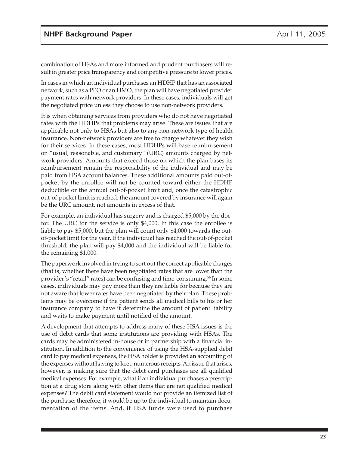combination of HSAs and more informed and prudent purchasers will result in greater price transparency and competitive pressure to lower prices.

In cases in which an individual purchases an HDHP that has an associated network, such as a PPO or an HMO, the plan will have negotiated provider payment rates with network providers. In these cases, individuals will get the negotiated price unless they choose to use non-network providers.

It is when obtaining services from providers who do not have negotiated rates with the HDHPs that problems may arise. These are issues that are applicable not only to HSAs but also to any non-network type of health insurance. Non-network providers are free to charge whatever they wish for their services. In these cases, most HDHPs will base reimbursement on "usual, reasonable, and customary" (URC) amounts charged by network providers. Amounts that exceed those on which the plan bases its reimbursement remain the responsibility of the individual and may be paid from HSA account balances. These additional amounts paid out-ofpocket by the enrollee will not be counted toward either the HDHP deductible or the annual out-of-pocket limit and, once the catastrophic out-of-pocket limit is reached, the amount covered by insurance will again be the URC amount, not amounts in excess of that.

For example, an individual has surgery and is charged \$5,000 by the doctor. The URC for the service is only \$4,000. In this case the enrollee is liable to pay \$5,000, but the plan will count only \$4,000 towards the outof-pocket limit for the year. If the individual has reached the out-of-pocket threshold, the plan will pay \$4,000 and the individual will be liable for the remaining \$1,000.

The paperwork involved in trying to sort out the correct applicable charges (that is, whether there have been negotiated rates that are lower than the provider's "retail" rates) can be confusing and time-consuming.56 In some cases, individuals may pay more than they are liable for because they are not aware that lower rates have been negotiated by their plan. These problems may be overcome if the patient sends all medical bills to his or her insurance company to have it determine the amount of patient liability and waits to make payment until notified of the amount.

A development that attempts to address many of these HSA issues is the use of debit cards that some institutions are providing with HSAs. The cards may be administered in-house or in partnership with a financial institution. In addition to the convenience of using the HSA-supplied debit card to pay medical expenses, the HSA holder is provided an accounting of the expenses without having to keep numerous receipts. An issue that arises, however, is making sure that the debit card purchases are all qualified medical expenses. For example, what if an individual purchases a prescription at a drug store along with other items that are not qualified medical expenses? The debit card statement would not provide an itemized list of the purchase; therefore, it would be up to the individual to maintain documentation of the items. And, if HSA funds were used to purchase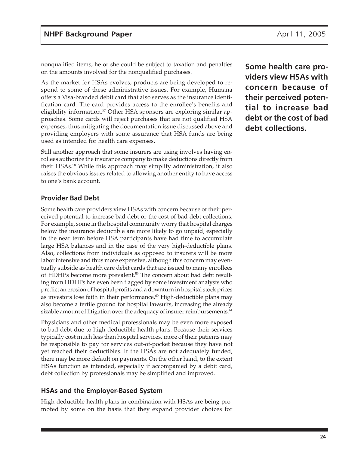nonqualified items, he or she could be subject to taxation and penalties on the amounts involved for the nonqualified purchases.

As the market for HSAs evolves, products are being developed to respond to some of these administrative issues. For example, Humana offers a Visa-branded debit card that also serves as the insurance identification card. The card provides access to the enrollee's benefits and eligibility information.<sup>57</sup> Other HSA sponsors are exploring similar approaches. Some cards will reject purchases that are not qualified HSA expenses, thus mitigating the documentation issue discussed above and providing employers with some assurance that HSA funds are being used as intended for health care expenses.

Still another approach that some insurers are using involves having enrollees authorize the insurance company to make deductions directly from their HSAs.58 While this approach may simplify administration, it also raises the obvious issues related to allowing another entity to have access to one's bank account.

## **Provider Bad Debt**

Some health care providers view HSAs with concern because of their perceived potential to increase bad debt or the cost of bad debt collections. For example, some in the hospital community worry that hospital charges below the insurance deductible are more likely to go unpaid, especially in the near term before HSA participants have had time to accumulate large HSA balances and in the case of the very high-deductible plans. Also, collections from individuals as opposed to insurers will be more labor intensive and thus more expensive, although this concern may eventually subside as health care debit cards that are issued to many enrollees of HDHPs become more prevalent.<sup>59</sup> The concern about bad debt resulting from HDHPs has even been flagged by some investment analysts who predict an erosion of hospital profits and a downturn in hospital stock prices as investors lose faith in their performance. $60$  High-deductible plans may also become a fertile ground for hospital lawsuits, increasing the already sizable amount of litigation over the adequacy of insurer reimbursements.<sup>61</sup>

Physicians and other medical professionals may be even more exposed to bad debt due to high-deductible health plans. Because their services typically cost much less than hospital services, more of their patients may be responsible to pay for services out-of-pocket because they have not yet reached their deductibles. If the HSAs are not adequately funded, there may be more default on payments. On the other hand, to the extent HSAs function as intended, especially if accompanied by a debit card, debt collection by professionals may be simplified and improved.

#### **HSAs and the Employer-Based System**

High-deductible health plans in combination with HSAs are being promoted by some on the basis that they expand provider choices for

**Some health care providers view HSAs with concern because of their perceived potential to increase bad debt or the cost of bad debt collections.**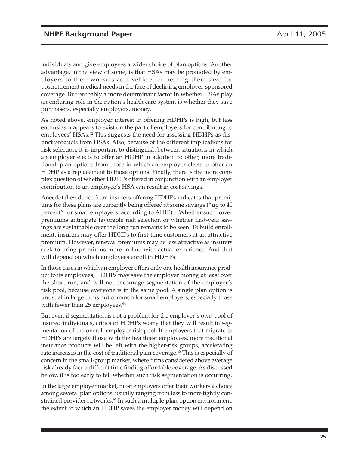individuals and give employees a wider choice of plan options. Another advantage, in the view of some, is that HSAs may be promoted by employers to their workers as a vehicle for helping them save for postretirement medical needs in the face of declining employer-sponsored coverage. But probably a more determinant factor in whether HSAs play an enduring role in the nation's health care system is whether they save purchasers, especially employers, money.

As noted above, employer interest in offering HDHPs is high, but less enthusiasm appears to exist on the part of employers for contributing to employees' HSAs.<sup>62</sup> This suggests the need for assessing HDHPs as distinct products from HSAs. Also, because of the different implications for risk selection, it is important to distinguish between situations in which an employer elects to offer an HDHP in addition to other, more traditional, plan options from those in which an employer elects to offer an HDHP as a replacement to those options. Finally, there is the more complex question of whether HDHPs offered in conjunction with an employer contribution to an employee's HSA can result in cost savings.

Anecdotal evidence from insurers offering HDHPs indicates that premiums for these plans are currently being offered at some savings ("up to 40 percent" for small employers, according to AHIP).<sup>63</sup> Whether such lower premiums anticipate favorable risk selection or whether first-year savings are sustainable over the long run remains to be seen. To build enrollment, insurers may offer HDHPs to first-time customers at an attractive premium. However, renewal premiums may be less attractive as insurers seek to bring premiums more in line with actual experience. And that will depend on which employees enroll in HDHPs.

In those cases in which an employer offers only one health insurance product to its employees, HDHPs may save the employer money, at least over the short run, and will not encourage segmentation of the employer's risk pool, because everyone is in the same pool. A single plan option is unusual in large firms but common for small employers, especially those with fewer than 25 employees.<sup>64</sup>

But even if segmentation is not a problem for the employer's own pool of insured individuals, critics of HDHPs worry that they will result in segmentation of the overall employer risk pool. If employers that migrate to HDHPs are largely those with the healthiest employees, more traditional insurance products will be left with the higher-risk groups, accelerating rate increases in the cost of traditional plan coverage.<sup> $65$ </sup> This is especially of concern in the small-group market, where firms considered above average risk already face a difficult time finding affordable coverage. As discussed below, it is too early to tell whether such risk segmentation is occurring.

In the large employer market, most employers offer their workers a choice among several plan options, usually ranging from less to more tightly constrained provider networks.<sup>66</sup> In such a multiple-plan-option environment, the extent to which an HDHP saves the employer money will depend on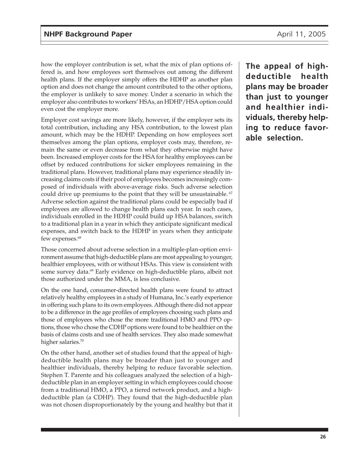how the employer contribution is set, what the mix of plan options offered is, and how employees sort themselves out among the different health plans. If the employer simply offers the HDHP as another plan option and does not change the amount contributed to the other options, the employer is unlikely to save money. Under a scenario in which the employer also contributes to workers' HSAs, an HDHP/HSA option could even cost the employer more.

Employer cost savings are more likely, however, if the employer sets its total contribution, including any HSA contribution, to the lowest plan amount, which may be the HDHP. Depending on how employees sort themselves among the plan options, employer costs may, therefore, remain the same or even decrease from what they otherwise might have been. Increased employer costs for the HSA for healthy employees can be offset by reduced contributions for sicker employees remaining in the traditional plans. However, traditional plans may experience steadily increasing claims costs if their pool of employees becomes increasingly composed of individuals with above-average risks. Such adverse selection could drive up premiums to the point that they will be unsustainable.<sup>67</sup> Adverse selection against the traditional plans could be especially bad if employees are allowed to change health plans each year. In such cases, individuals enrolled in the HDHP could build up HSA balances, switch to a traditional plan in a year in which they anticipate significant medical expenses, and switch back to the HDHP in years when they anticipate few expenses.<sup>68</sup>

Those concerned about adverse selection in a multiple-plan-option environment assume that high-deductible plans are most appealing to younger, healthier employees, with or without HSAs. This view is consistent with some survey data.<sup>69</sup> Early evidence on high-deductible plans, albeit not those authorized under the MMA, is less conclusive.

On the one hand, consumer-directed health plans were found to attract relatively healthy employees in a study of Humana, Inc.'s early experience in offering such plans to its own employees. Although there did not appear to be a difference in the age profiles of employees choosing such plans and those of employees who chose the more traditional HMO and PPO options, those who chose the CDHP options were found to be healthier on the basis of claims costs and use of health services. They also made somewhat higher salaries.<sup>70</sup>

On the other hand, another set of studies found that the appeal of highdeductible health plans may be broader than just to younger and healthier individuals, thereby helping to reduce favorable selection. Stephen T. Parente and his colleagues analyzed the selection of a highdeductible plan in an employer setting in which employees could choose from a traditional HMO, a PPO, a tiered network product, and a highdeductible plan (a CDHP). They found that the high-deductible plan was not chosen disproportionately by the young and healthy but that it

**The appeal of highdeductible health plans may be broader than just to younger and healthier individuals, thereby helping to reduce favorable selection.**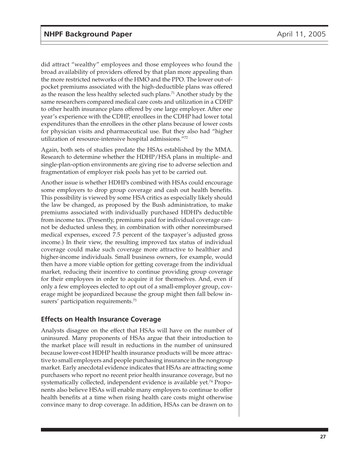did attract "wealthy" employees and those employees who found the broad availability of providers offered by that plan more appealing than the more restricted networks of the HMO and the PPO. The lower out-ofpocket premiums associated with the high-deductible plans was offered as the reason the less healthy selected such plans.71 Another study by the same researchers compared medical care costs and utilization in a CDHP to other health insurance plans offered by one large employer. After one year's experience with the CDHP, enrollees in the CDHP had lower total expenditures than the enrollees in the other plans because of lower costs for physician visits and pharmaceutical use. But they also had "higher utilization of resource-intensive hospital admissions."72

Again, both sets of studies predate the HSAs established by the MMA. Research to determine whether the HDHP/HSA plans in multiple- and single-plan-option environments are giving rise to adverse selection and fragmentation of employer risk pools has yet to be carried out.

Another issue is whether HDHPs combined with HSAs could encourage some employers to drop group coverage and cash out health benefits. This possibility is viewed by some HSA critics as especially likely should the law be changed, as proposed by the Bush administration, to make premiums associated with individually purchased HDHPs deductible from income tax. (Presently, premiums paid for individual coverage cannot be deducted unless they, in combination with other nonreimbursed medical expenses, exceed 7.5 percent of the taxpayer's adjusted gross income.) In their view, the resulting improved tax status of individual coverage could make such coverage more attractive to healthier and higher-income individuals. Small business owners, for example, would then have a more viable option for getting coverage from the individual market, reducing their incentive to continue providing group coverage for their employees in order to acquire it for themselves. And, even if only a few employees elected to opt out of a small-employer group, coverage might be jeopardized because the group might then fall below insurers' participation requirements.<sup>73</sup>

## **Effects on Health Insurance Coverage**

Analysts disagree on the effect that HSAs will have on the number of uninsured. Many proponents of HSAs argue that their introduction to the market place will result in reductions in the number of uninsured because lower-cost HDHP health insurance products will be more attractive to small employers and people purchasing insurance in the nongroup market. Early anecdotal evidence indicates that HSAs are attracting some purchasers who report no recent prior health insurance coverage, but no systematically collected, independent evidence is available yet.<sup>74</sup> Proponents also believe HSAs will enable many employers to continue to offer health benefits at a time when rising health care costs might otherwise convince many to drop coverage. In addition, HSAs can be drawn on to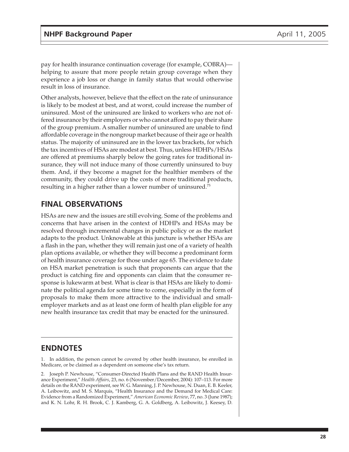pay for health insurance continuation coverage (for example, COBRA) helping to assure that more people retain group coverage when they experience a job loss or change in family status that would otherwise result in loss of insurance.

Other analysts, however, believe that the effect on the rate of uninsurance is likely to be modest at best, and at worst, could increase the number of uninsured. Most of the uninsured are linked to workers who are not offered insurance by their employers or who cannot afford to pay their share of the group premium. A smaller number of uninsured are unable to find affordable coverage in the nongroup market because of their age or health status. The majority of uninsured are in the lower tax brackets, for which the tax incentives of HSAs are modest at best. Thus, unless HDHPs/HSAs are offered at premiums sharply below the going rates for traditional insurance, they will not induce many of those currently uninsured to buy them. And, if they become a magnet for the healthier members of the community, they could drive up the costs of more traditional products, resulting in a higher rather than a lower number of uninsured.<sup>75</sup>

# **FINAL OBSERVATIONS**

HSAs are new and the issues are still evolving. Some of the problems and concerns that have arisen in the context of HDHPs and HSAs may be resolved through incremental changes in public policy or as the market adapts to the product. Unknowable at this juncture is whether HSAs are a flash in the pan, whether they will remain just one of a variety of health plan options available, or whether they will become a predominant form of health insurance coverage for those under age 65. The evidence to date on HSA market penetration is such that proponents can argue that the product is catching fire and opponents can claim that the consumer response is lukewarm at best. What is clear is that HSAs are likely to dominate the political agenda for some time to come, especially in the form of proposals to make them more attractive to the individual and smallemployer markets and as at least one form of health plan eligible for any new health insurance tax credit that may be enacted for the uninsured.

## **ENDNOTES**

1. In addition, the person cannot be covered by other health insurance, be enrolled in Medicare, or be claimed as a dependent on someone else's tax return.

2. Joseph P. Newhouse, "Consumer-Directed Health Plans and the RAND Health Insurance Experiment," *Health Affairs*, 23, no. 6 (November/December, 2004): 107–113. For more details on the RAND experiment, see W. G. Manning, J. P. Newhouse, N. Duan, E. B. Keeler, A. Leibowitz, and M. S. Marquis, "Health Insurance and the Demand for Medical Care: Evidence from a Randomized Experiment," *American Economic Review*, 77, no. 3 (June 1987); and K. N. Lohr, R. H. Brook, C. J. Kamberg, G. A. Goldberg, A. Leibowitz, J. Keesey, D.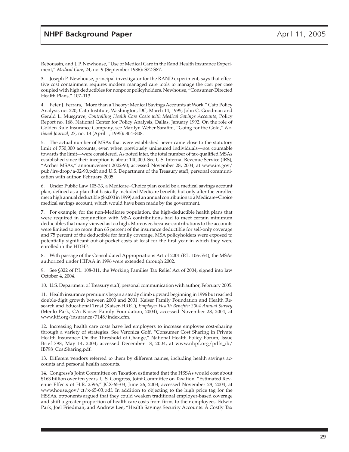Reboussin, and J. P. Newhouse, "Use of Medical Care in the Rand Health Insurance Experiment," *Medical Care*, 24, no. 9 (September 1986): S72-S87.

3. Joseph P. Newhouse, principal investigator for the RAND experiment, says that effective cost containment requires modern managed care tools to manage the cost per case coupled with high deductibles for nonpoor policyholders. Newhouse, "Consumer-Directed Health Plans," 107–113.

4. Peter J. Ferrara, "More than a Theory: Medical Savings Accounts at Work," Cato Policy Analysis no. 220, Cato Institute, Washington, DC, March 14, 1995; John C. Goodman and Gerald L. Musgrave, *Controlling Health Care Costs with Medical Savings Accounts*, Policy Report no. 168, National Center for Policy Analysis, Dallas, January 1992. On the role of Golden Rule Insurance Company, see Marilyn Weber Sarafini, "Going for the Gold," *National Journal*, 27, no. 13 (April 1, 1995): 804–808.

5. The actual number of MSAs that were established never came close to the statutory limit of 750,000 accounts, even when previously uninsured individuals—not countable towards the limit—were considered. As noted later, the total number of tax-qualified MSAs established since their inception is about 140,000. See U.S. Internal Revenue Service (IRS), "Archer MSAs," announcement 2002-90; accessed November 28, 2004, at www.irs.gov/ pub/irs-drop/a-02-90.pdf; and U.S. Department of the Treasury staff, personal communication with author, February 2005.

6. Under Public Law 105-33, a Medicare+Choice plan could be a medical savings account plan, defined as a plan that basically included Medicare benefits but only after the enrollee met a high annual deductible (\$6,000 in 1999) and an annual contribution to a Medicare+Choice medical savings account, which would have been made by the government.

7. For example, for the non-Medicare population, the high-deductible health plans that were required in conjunction with MSA contributions had to meet certain minimum deductibles that many viewed as too high. Moreover, because contributions to the accounts were limited to no more than 65 percent of the insurance deductible for self-only coverage and 75 percent of the deductible for family coverage, MSA policyholders were exposed to potentially significant out-of-pocket costs at least for the first year in which they were enrolled in the HDHP.

8. With passage of the Consolidated Appropriations Act of 2001 (P.L. 106-554), the MSAs authorized under HIPAA in 1996 were extended through 2002.

9. See §322 of P.L. 108-311, the Working Families Tax Relief Act of 2004, signed into law October 4, 2004.

10. U.S. Department of Treasury staff, personal communication with author, February 2005.

11. Health insurance premiums began a steady climb upward beginning in 1996 but reached double-digit growth between 2000 and 2001. Kaiser Family Foundation and Health Research and Educational Trust (Kaiser-HRET), *Employer Health Benefits: 2004 Annual Survey* (Menlo Park, CA: Kaiser Family Foundation, 2004); accessed November 28, 2004, at www.kff.org/insurance/7148/index.cfm.

12. Increasing health care costs have led employers to increase employee cost-sharing through a variety of strategies. See Veronica Goff, "Consumer Cost Sharing in Private Health Insurance: On the Threshold of Change," National Health Policy Forum, Issue Brief 798, May 14, 2004; accessed December 18, 2004, at www.nhpf.org/pdfs\_ib/ IB798\_CostSharing.pdf.

13. Different vendors referred to them by different names, including health savings accounts and personal health accounts.

14. Congress's Joint Committee on Taxation estimated that the HSSAs would cost about \$163 billion over ten years. U.S. Congress, Joint Committee on Taxation, "Estimated Revenue Effects of H.R. 2596," JCX-65-03, June 26, 2003; accessed November 28, 2004, at www.house.gov/jct/x-65-03.pdf. In addition to objecting to the high price tag for the HSSAs, opponents argued that they could weaken traditional employer-based coverage and shift a greater proportion of health care costs from firms to their employees. Edwin Park, Joel Friedman, and Andrew Lee, "Health Savings Security Accounts: A Costly Tax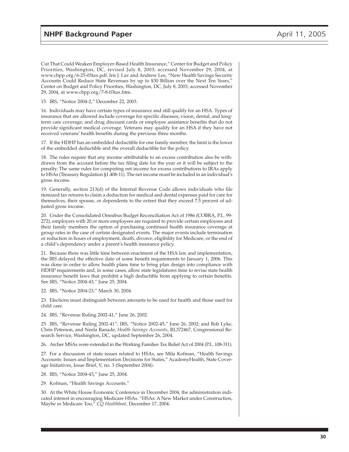Cut That Could Weaken Employer-Based Health Insurance," Center for Budget and Policy Priorities, Washington, DC, revised July 8, 2003; accessed November 29, 2004, at www.cbpp.org/6-25-03tax.pdf. Iris J. Lav and Andrew Lee, "New Health Savings Security Accounts Could Reduce State Revenues by up to \$30 Billion over the Next Ten Years," Center on Budget and Policy Priorities, Washington, DC, July 8, 2003; accessed November 29, 2004, at www.cbpp.org/7-8-03tax.htm.

15. IRS, "Notice 2004-2," December 22, 2003.

16. Individuals may have certain types of insurance and still qualify for an HSA. Types of insurance that are allowed include coverage for specific diseases; vision, dental, and longterm care coverage; and drug discount cards or employee assistance benefits that do not provide significant medical coverage. Veterans may qualify for an HSA if they have not received veterans' health benefits during the previous three months.

17. If the HDHP has an embedded deductible for one family member, the limit is the lower of the embedded deductible and the overall deductible for the policy.

18. The rules require that any income attributable to an excess contribution also be withdrawn from the account before the tax filing date for the year or it will be subject to the penalty. The same rules for computing net income for excess contributions to IRAs apply to HSAs (Treasury Regulation §1.408-11). The net income must be included in an individual's gross income.

19. Generally, section 213(d) of the Internal Revenue Code allows individuals who file itemized tax returns to claim a deduction for medical and dental expenses paid for care for themselves, their spouse, or dependents to the extent that they exceed 7.5 percent of adjusted gross income.

20. Under the Consolidated Omnibus Budget Reconciliation Act of 1986 (COBRA, P.L. 99- 272), employers with 20 or more employees are required to provide certain employees and their family members the option of purchasing continued health insurance coverage at group rates in the case of certain designated events. The major events include termination or reduction in hours of employment, death, divorce, eligibility for Medicare, or the end of a child's dependency under a parent's health insurance policy.

21. Because there was little time between enactment of the HSA law and implementation, the IRS delayed the effective date of some benefit requirements to January 1, 2006. This was done in order to allow health plans time to bring plan design into compliance with HDHP requirements and, in some cases, allow state legislatures time to revise state health insurance benefit laws that prohibit a high deductible from applying to certain benefits. See IRS, "Notice 2004-43," June 25, 2004.

22. IRS, "Notice 2004-23," March 30, 2004.

23. Elections must distinguish between amounts to be used for health and those used for child care.

24. IRS, "Revenue Ruling 2002-41," June 26, 2002.

25. IRS, "Revenue Ruling 2002-41"; IRS, "Notice 2002-45," June 26, 2002; and Bob Lyke, Chris Peterson, and Neela Ranade, *Health Savings Accounts*, RL372467, Congressional Research Service, Washington, DC, updated September 26, 2004.

26. Archer MSAs were extended in the Working Families Tax Relief Act of 2004 (P.L. 108-311).

27. For a discussion of state issues related to HSAs, see Mila Kofman, "Health Savings Accounts: Issues and Implementation Decisions for States," AcademyHealth, State Coverage Initiatives, Issue Brief, V, no. 3 (September 2004).

28. IRS, "Notice 2004-43," June 25, 2004.

29. Kofman, "Health Savings Accounts."

30. At the White House Economic Conference in December 2004, the administration indicated interest in encouraging Medicare HSAs. "HSAs: A New Market under Construction, Maybe in Medicare Too," *CQ Healthbeat*, December 17, 2004.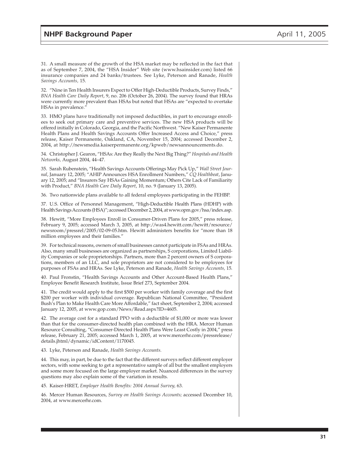31. A small measure of the growth of the HSA market may be reflected in the fact that as of September 7, 2004, the "HSA Insider" Web site (www.hsainsider.com) listed 66 insurance companies and 24 banks/trustees. See Lyke, Peterson and Ranade, *Health Savings Accounts,* 15.

32. "Nine in Ten Health Insurers Expect to Offer High-Deductible Products, Survey Finds," *BNA Health Care Daily Report*, 9, no. 206 (October 26, 2004). The survey found that HRAs were currently more prevalent than HSAs but noted that HSAs are "expected to overtake HSAs in prevalence.'

33. HMO plans have traditionally not imposed deductibles, in part to encourage enrollees to seek out primary care and preventive services. The new HSA products will be offered initially in Colorado, Georgia, and the Pacific Northwest. "New Kaiser Permanente Health Plans and Health Savings Accounts Offer Increased Access and Choice," press release, Kaiser Permanente, Oakland, CA, November 15, 2004; accessed December 2, 2004, at http://newsmedia.kaiserpermanente.org/kpweb/newsannouncements.do.

34. Christopher J. Gearon, "HSAs: Are they Really the Next Big Thing?" *Hospitals and Health Networks,* August 2004, 44–47.

35. Sarah Rubenstein, "Health Savings Accounts Offerings May Pick Up," *Wall Street Journal*, January 12, 2005; "AHIP Announces HSA Enrollment Numbers," *CQ Healthbeat*, January 12, 2005; and "Insurers Say HSAs Gaining Momentum; Others Cite Lack of Familiarity with Product," *BNA Health Care Daily Report*, 10, no. 9 (January 13, 2005).

36. Two nationwide plans available to all federal employees participating in the FEHBP.

37. U.S. Office of Personnel Management, "High-Deductible Health Plans (HDHP) with Health Savings Accounts (HSA)"; accessed December 2, 2004, at www.opm.gov/hsa/index.asp.

38. Hewitt, "More Employees Enroll in Consumer-Driven Plans for 2005," press release, February 9, 2005; accessed March 3, 2005, at http://was4.hewitt.com/hewitt/resource/ newsroom/pressrel/2005/02-09-05.htm. Hewitt administers benefits for "more than 18 million employees and their families."

39. For technical reasons, owners of small businesses cannot participate in FSAs and HRAs. Also, many small businesses are organized as partnerships, S corporations, Limited Liability Companies or sole proprietorships. Partners, more than 2 percent owners of S corporations, members of an LLC, and sole proprietors are not considered to be employees for purposes of FSAs and HRAs. See Lyke, Peterson and Ranade, *Health Savings Accounts,* 15*.*

40. Paul Fronstin, "Health Savings Accounts and Other Account-Based Health Plans," Employee Benefit Research Institute, Issue Brief 273, September 2004.

41. The credit would apply to the first \$500 per worker with family coverage and the first \$200 per worker with individual coverage. Republican National Committee, "President Bush's Plan to Make Health Care More Affordable," fact sheet, September 2, 2004; accessed January 12, 2005, at www.gop.com/News/Read.aspx?ID=4605.

42. The average cost for a standard PPO with a deductible of \$1,000 or more was lower than that for the consumer-directed health plan combined with the HRA. Mercer Human Resource Consulting, "Consumer-Directed Health Plans Were Least Costly in 2004," press release, February 21, 2005; accessed March 1, 2005, at www.mercerhr.com/pressrelease/ details.jhtml/dynamic/idContent/1170045.

43. Lyke, Peterson and Ranade, *Health Savings Accounts.*

44. This may, in part, be due to the fact that the different surveys reflect different employer sectors, with some seeking to get a representative sample of all but the smallest employers and some more focused on the large employer market. Nuanced differences in the survey questions may also explain some of the variation in results.

45. Kaiser-HRET, *Employer Health Benefits: 2004 Annual Survey,* 63.

46. Mercer Human Resources, *Survey on Health Savings Accounts;* accessed December 10, 2004, at www.mercerhr.com.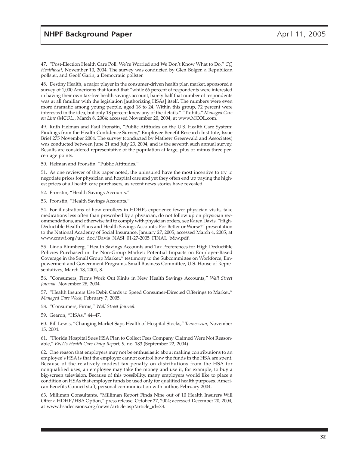47. "Post-Election Health Care Poll: We're Worried and We Don't Know What to Do," *CQ Healthbeat*, November 10, 2004. The survey was conducted by Glen Bolger, a Republican pollster, and Geoff Garin, a Democratic pollster.

48. Destiny Health, a major player in the consumer-driven health plan market, sponsored a survey of 1,000 Americans that found that "while 66 percent of respondents were interested in having their own tax-free health savings account, barely half that number of respondents was at all familiar with the legislation [authorizing HSAs] itself. The numbers were even more dramatic among young people, aged 18 to 24. Within this group, 72 percent were interested in the idea, but only 18 percent knew any of the details." "Tidbits," *Managed Care on Line (MCOL)*, March 8, 2004; accessed November 20, 2004, at www.MCOL.com.

49. Ruth Helman and Paul Fronstin, "Public Attitudes on the U.S. Health Care System: Findings from the Health Confidence Survey," Employee Benefit Research Institute, Issue Brief 275 November 2004. The survey (conducted by Mathew Greenwald and Associates) was conducted between June 21 and July 23, 2004, and is the seventh such annual survey. Results are considered representative of the population at large, plus or minus three percentage points.

50. Helman and Fronstin, "Public Attitudes*.*"

51. As one reviewer of this paper noted, the uninsured have the most incentive to try to negotiate prices for physician and hospital care and yet they often end up paying the highest prices of all health care purchasers, as recent news stories have revealed.

52. Fronstin, "Health Savings Accounts*.*"

53. Fronstin, "Health Savings Accounts."

54. For illustrations of how enrollees in HDHPs experience fewer physician visits, take medications less often than prescribed by a physician, do not follow up on physician recommendations, and otherwise fail to comply with physician orders, see Karen Davis, "High-Deductible Health Plans and Health Savings Accounts: For Better or Worse?" presentation to the National Academy of Social Insurance, January 27, 2005; accessed March 4, 2005, at www.cmwf.org/usr\_doc/Davis\_NASI\_01-27-2005\_FINAL\_b&w.pdf.

55. Linda Blumberg, "Health Savings Accounts and Tax Preferences for High Deductible Policies Purchased in the Non-Group Market: Potential Impacts on Employer-Based Coverage in the Small Group Market," testimony to the Subcommittee on Workforce, Empowerment and Government Programs, Small Business Committee, U.S. House of Representatives, March 18, 2004, 8.

56. "Consumers, Firms Work Out Kinks in New Health Savings Accounts," *Wall Street Journal,* November 28, 2004.

57. "Health Insurers Use Debit Cards to Speed Consumer-Directed Offerings to Market," *Managed Care Week*, February 7, 2005.

58. "Consumers, Firms," *Wall Street Journal.*

59. Gearon, "HSAs," 44–47.

60. Bill Lewis, "Changing Market Saps Health of Hospital Stocks," *Tennessean,* November 15, 2004.

61. "Florida Hospital Sues HSA Plan to Collect Fees Company Claimed Were Not Reasonable," *BNA's Health Care Daily Report,* 9, no. 183 (September 22, 2004).

62. One reason that employers may not be enthusiastic about making contributions to an employee's HSA is that the employer cannot control how the funds in the HSA are spent. Because of the relatively modest tax penalty on distributions from the HSA for nonqualified uses, an employee may take the money and use it, for example, to buy a big-screen television. Because of this possibility, many employers would like to place a condition on HSAs that employer funds be used only for qualified health purposes. American Benefits Council staff, personal communication with author, February 2004.

63. Milliman Consultants, "Milliman Report Finds Nine out of 10 Health Insurers Will Offer a HDHP/HSA Option," press release, October 27, 2004; accessed December 20, 2004, at www.hsadecisions.org/news/article.asp?article\_id=73.